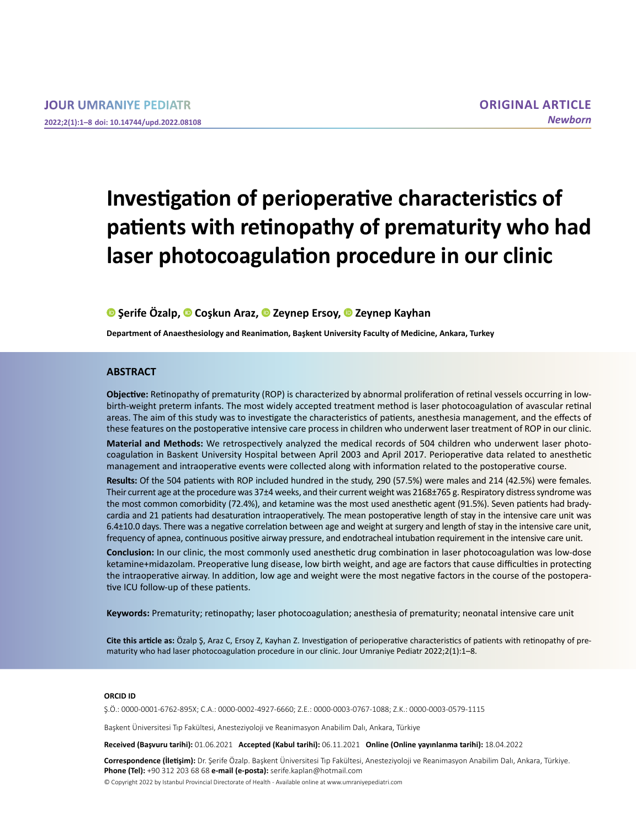# **Investigation of perioperative characteristics of patients with retinopathy of prematurity who had laser photocoagulation procedure in our clinic**

# **Şerife Özalp,Coşkun Araz,Zeynep Ersoy,Zeynep Kayhan**

**Department of Anaesthesiology and Reanimation, Başkent University Faculty of Medicine, Ankara, Turkey**

#### **ABSTRACT**

**Objective:** Retinopathy of prematurity (ROP) is characterized by abnormal proliferation of retinal vessels occurring in lowbirth-weight preterm infants. The most widely accepted treatment method is laser photocoagulation of avascular retinal areas. The aim of this study was to investigate the characteristics of patients, anesthesia management, and the effects of these features on the postoperative intensive care process in children who underwent laser treatment of ROP in our clinic.

**Material and Methods:** We retrospectively analyzed the medical records of 504 children who underwent laser photocoagulation in Baskent University Hospital between April 2003 and April 2017. Perioperative data related to anesthetic management and intraoperative events were collected along with information related to the postoperative course.

**Results:** Of the 504 patients with ROP included hundred in the study, 290 (57.5%) were males and 214 (42.5%) were females. Their current age at the procedure was 37±4 weeks, and their current weight was 2168±765 g. Respiratory distress syndrome was the most common comorbidity (72.4%), and ketamine was the most used anesthetic agent (91.5%). Seven patients had bradycardia and 21 patients had desaturation intraoperatively. The mean postoperative length of stay in the intensive care unit was 6.4±10.0 days. There was a negative correlation between age and weight at surgery and length of stay in the intensive care unit, frequency of apnea, continuous positive airway pressure, and endotracheal intubation requirement in the intensive care unit.

**Conclusion:** In our clinic, the most commonly used anesthetic drug combination in laser photocoagulation was low-dose ketamine+midazolam. Preoperative lung disease, low birth weight, and age are factors that cause difficulties in protecting the intraoperative airway. In addition, low age and weight were the most negative factors in the course of the postoperative ICU follow-up of these patients.

**Keywords:** Prematurity; retinopathy; laser photocoagulation; anesthesia of prematurity; neonatal intensive care unit

**Cite this article as:** Özalp Ş, Araz C, Ersoy Z, Kayhan Z. Investigation of perioperative characteristics of patients with retinopathy of prematurity who had laser photocoagulation procedure in our clinic. Jour Umraniye Pediatr 2022;2(1):1-8.

#### **ORCID ID**

Ş.Ö.: 0000-0001-6762-895X; C.A.: 0000-0002-4927-6660; Z.E.: 0000-0003-0767-1088; Z.K.: 0000-0003-0579-1115

Başkent Üniversitesi Tıp Fakültesi, Anesteziyoloji ve Reanimasyon Anabilim Dalı, Ankara, Türkiye

**Received (Başvuru tarihi):** 01.06.2021 **Accepted (Kabul tarihi):** 06.11.2021 **Online (Online yayınlanma tarihi):** 18.04.2022

**Correspondence (İletişim):** Dr. Şerife Özalp. Başkent Üniversitesi Tıp Fakültesi, Anesteziyoloji ve Reanimasyon Anabilim Dalı, Ankara, Türkiye. **Phone (Tel):** +90 312 203 68 68 **e-mail (e-posta):** serife.kaplan@hotmail.com

© Copyright 2022 by Istanbul Provincial Directorate of Health - Available online at www.umraniyepediatri.com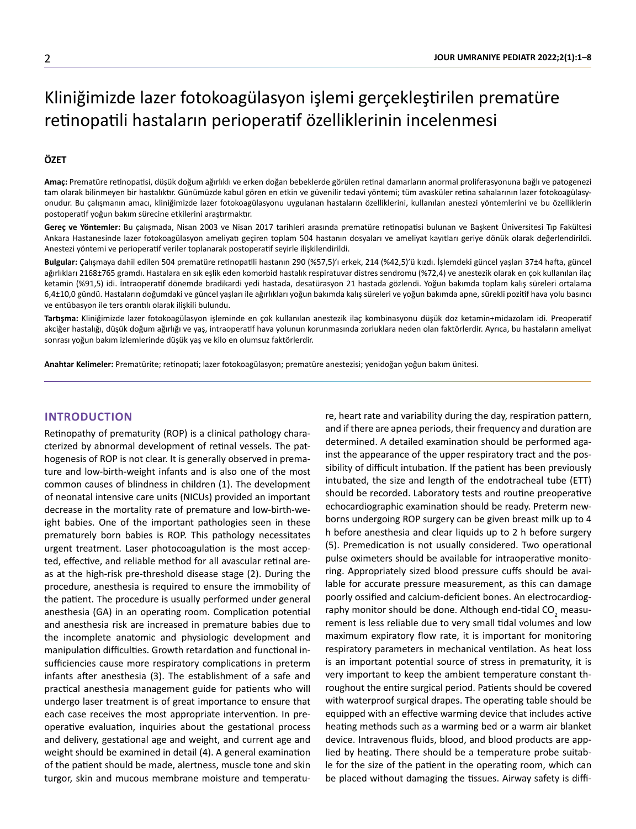# Kliniğimizde lazer fotokoagülasyon işlemi gerçekleştirilen prematüre retinopatili hastaların perioperatif özelliklerinin incelenmesi

## **ÖZET**

**Amaç:** Prematüre retinopatisi, düşük doğum ağırlıklı ve erken doğan bebeklerde görülen retinal damarların anormal proliferasyonuna bağlı ve patogenezi tam olarak bilinmeyen bir hastalıktır. Günümüzde kabul gören en etkin ve güvenilir tedavi yöntemi; tüm avasküler retina sahalarının lazer fotokoagülasyonudur. Bu çalışmanın amacı, kliniğimizde lazer fotokoagülasyonu uygulanan hastaların özelliklerini, kullanılan anestezi yöntemlerini ve bu özelliklerin postoperatif yoğun bakım sürecine etkilerini araştırmaktır.

**Gereç ve Yöntemler:** Bu çalışmada, Nisan 2003 ve Nisan 2017 tarihleri arasında prematüre retinopatisi bulunan ve Başkent Üniversitesi Tıp Fakültesi Ankara Hastanesinde lazer fotokoagülasyon ameliyatı geçiren toplam 504 hastanın dosyaları ve ameliyat kayıtları geriye dönük olarak değerlendirildi. Anestezi yöntemi ve perioperatif veriler toplanarak postoperatif seyirle ilişkilendirildi.

**Bulgular:** Çalışmaya dahil edilen 504 prematüre retinopatili hastanın 290 (%57,5)'ı erkek, 214 (%42,5)'ü kızdı. İşlemdeki güncel yaşları 37±4 hafta, güncel ağırlıkları 2168±765 gramdı. Hastalara en sık eşlik eden komorbid hastalık respiratuvar distres sendromu (%72,4) ve anestezik olarak en çok kullanılan ilaç ketamin (%91,5) idi. İntraoperatif dönemde bradikardi yedi hastada, desatürasyon 21 hastada gözlendi. Yoğun bakımda toplam kalış süreleri ortalama 6,4±10,0 gündü. Hastaların doğumdaki ve güncel yaşları ile ağırlıkları yoğun bakımda kalış süreleri ve yoğun bakımda apne, sürekli pozitif hava yolu basıncı ve entübasyon ile ters orantılı olarak ilişkili bulundu.

**Tartışma:** Kliniğimizde lazer fotokoagülasyon işleminde en çok kullanılan anestezik ilaç kombinasyonu düşük doz ketamin+midazolam idi. Preoperatif akciğer hastalığı, düşük doğum ağırlığı ve yaş, intraoperatif hava yolunun korunmasında zorluklara neden olan faktörlerdir. Ayrıca, bu hastaların ameliyat sonrası yoğun bakım izlemlerinde düşük yaş ve kilo en olumsuz faktörlerdir.

**Anahtar Kelimeler:** Prematürite; retinopati; lazer fotokoagülasyon; prematüre anestezisi; yenidoğan yoğun bakım ünitesi.

## **INTRODUCTION**

Retinopathy of prematurity (ROP) is a clinical pathology characterized by abnormal development of retinal vessels. The pathogenesis of ROP is not clear. It is generally observed in premature and low-birth-weight infants and is also one of the most common causes of blindness in children (1). The development of neonatal intensive care units (NICUs) provided an important decrease in the mortality rate of premature and low-birth-weight babies. One of the important pathologies seen in these prematurely born babies is ROP. This pathology necessitates urgent treatment. Laser photocoagulation is the most accepted, effective, and reliable method for all avascular retinal areas at the high-risk pre-threshold disease stage (2). During the procedure, anesthesia is required to ensure the immobility of the patient. The procedure is usually performed under general anesthesia (GA) in an operating room. Complication potential and anesthesia risk are increased in premature babies due to the incomplete anatomic and physiologic development and manipulation difficulties. Growth retardation and functional insufficiencies cause more respiratory complications in preterm infants after anesthesia (3). The establishment of a safe and practical anesthesia management guide for patients who will undergo laser treatment is of great importance to ensure that each case receives the most appropriate intervention. In preoperative evaluation, inquiries about the gestational process and delivery, gestational age and weight, and current age and weight should be examined in detail (4). A general examination of the patient should be made, alertness, muscle tone and skin turgor, skin and mucous membrane moisture and temperature, heart rate and variability during the day, respiration pattern, and if there are apnea periods, their frequency and duration are determined. A detailed examination should be performed against the appearance of the upper respiratory tract and the possibility of difficult intubation. If the patient has been previously intubated, the size and length of the endotracheal tube (ETT) should be recorded. Laboratory tests and routine preoperative echocardiographic examination should be ready. Preterm newborns undergoing ROP surgery can be given breast milk up to 4 h before anesthesia and clear liquids up to 2 h before surgery (5). Premedication is not usually considered. Two operational pulse oximeters should be available for intraoperative monitoring. Appropriately sized blood pressure cuffs should be available for accurate pressure measurement, as this can damage poorly ossified and calcium-deficient bones. An electrocardiography monitor should be done. Although end-tidal CO<sub>2</sub> measurement is less reliable due to very small tidal volumes and low maximum expiratory flow rate, it is important for monitoring respiratory parameters in mechanical ventilation. As heat loss is an important potential source of stress in prematurity, it is very important to keep the ambient temperature constant throughout the entire surgical period. Patients should be covered with waterproof surgical drapes. The operating table should be equipped with an effective warming device that includes active heating methods such as a warming bed or a warm air blanket device. Intravenous fluids, blood, and blood products are applied by heating. There should be a temperature probe suitable for the size of the patient in the operating room, which can be placed without damaging the tissues. Airway safety is diffi-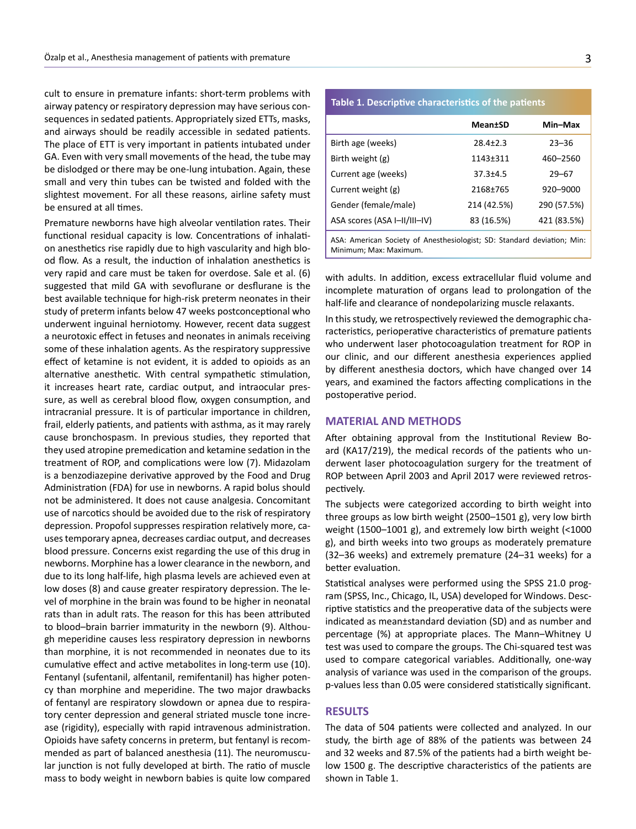cult to ensure in premature infants: short-term problems with airway patency or respiratory depression may have serious consequences in sedated patients. Appropriately sized ETTs, masks, and airways should be readily accessible in sedated patients. The place of ETT is very important in patients intubated under GA. Even with very small movements of the head, the tube may be dislodged or there may be one-lung intubation. Again, these small and very thin tubes can be twisted and folded with the slightest movement. For all these reasons, airline safety must be ensured at all times.

Premature newborns have high alveolar ventilation rates. Their functional residual capacity is low. Concentrations of inhalation anesthetics rise rapidly due to high vascularity and high blood flow. As a result, the induction of inhalation anesthetics is very rapid and care must be taken for overdose. Sale et al. (6) suggested that mild GA with sevoflurane or desflurane is the best available technique for high-risk preterm neonates in their study of preterm infants below 47 weeks postconceptional who underwent inguinal herniotomy. However, recent data suggest a neurotoxic effect in fetuses and neonates in animals receiving some of these inhalation agents. As the respiratory suppressive effect of ketamine is not evident, it is added to opioids as an alternative anesthetic. With central sympathetic stimulation, it increases heart rate, cardiac output, and intraocular pressure, as well as cerebral blood flow, oxygen consumption, and intracranial pressure. It is of particular importance in children, frail, elderly patients, and patients with asthma, as it may rarely cause bronchospasm. In previous studies, they reported that they used atropine premedication and ketamine sedation in the treatment of ROP, and complications were low (7). Midazolam is a benzodiazepine derivative approved by the Food and Drug Administration (FDA) for use in newborns. A rapid bolus should not be administered. It does not cause analgesia. Concomitant use of narcotics should be avoided due to the risk of respiratory depression. Propofol suppresses respiration relatively more, causes temporary apnea, decreases cardiac output, and decreases blood pressure. Concerns exist regarding the use of this drug in newborns. Morphine has a lower clearance in the newborn, and due to its long half-life, high plasma levels are achieved even at low doses (8) and cause greater respiratory depression. The level of morphine in the brain was found to be higher in neonatal rats than in adult rats. The reason for this has been attributed to blood–brain barrier immaturity in the newborn (9). Although meperidine causes less respiratory depression in newborns than morphine, it is not recommended in neonates due to its cumulative effect and active metabolites in long-term use (10). Fentanyl (sufentanil, alfentanil, remifentanil) has higher potency than morphine and meperidine. The two major drawbacks of fentanyl are respiratory slowdown or apnea due to respiratory center depression and general striated muscle tone increase (rigidity), especially with rapid intravenous administration. Opioids have safety concerns in preterm, but fentanyl is recommended as part of balanced anesthesia (11). The neuromuscular junction is not fully developed at birth. The ratio of muscle mass to body weight in newborn babies is quite low compared

# **Table 1. Descriptive characteristics of the patients**

|                                                                         | <b>Mean±SD</b>        | Min-Max     |  |  |
|-------------------------------------------------------------------------|-----------------------|-------------|--|--|
| Birth age (weeks)                                                       | $28.4 \pm 2.3$        | $23 - 36$   |  |  |
| Birth weight (g)                                                        | 1143 <sup>+</sup> 311 | 460-2560    |  |  |
| Current age (weeks)                                                     | $37.3 + 4.5$          | $29 - 67$   |  |  |
| Current weight (g)                                                      | 2168±765              | 920-9000    |  |  |
| Gender (female/male)                                                    | 214 (42.5%)           | 290 (57.5%) |  |  |
| ASA scores (ASA I-II/III-IV)                                            | 83 (16.5%)            | 421 (83.5%) |  |  |
| ASA: Amorican Society of Anosthosiologist: SD: Standard doviation: Min: |                       |             |  |  |

iety of Anesthesiologist; SD: Sta Minimum; Max: Maximum.

with adults. In addition, excess extracellular fluid volume and incomplete maturation of organs lead to prolongation of the half-life and clearance of nondepolarizing muscle relaxants.

In this study, we retrospectively reviewed the demographic characteristics, perioperative characteristics of premature patients who underwent laser photocoagulation treatment for ROP in our clinic, and our different anesthesia experiences applied by different anesthesia doctors, which have changed over 14 years, and examined the factors affecting complications in the postoperative period.

#### **MATERIAL AND METHODS**

After obtaining approval from the Institutional Review Board (KA17/219), the medical records of the patients who underwent laser photocoagulation surgery for the treatment of ROP between April 2003 and April 2017 were reviewed retrospectively.

The subjects were categorized according to birth weight into three groups as low birth weight (2500–1501 g), very low birth weight (1500–1001 g), and extremely low birth weight (<1000 g), and birth weeks into two groups as moderately premature (32–36 weeks) and extremely premature (24–31 weeks) for a better evaluation.

Statistical analyses were performed using the SPSS 21.0 program (SPSS, Inc., Chicago, IL, USA) developed for Windows. Descriptive statistics and the preoperative data of the subjects were indicated as mean±standard deviation (SD) and as number and percentage (%) at appropriate places. The Mann–Whitney U test was used to compare the groups. The Chi-squared test was used to compare categorical variables. Additionally, one-way analysis of variance was used in the comparison of the groups. p-values less than 0.05 were considered statistically significant.

### **RESULTS**

The data of 504 patients were collected and analyzed. In our study, the birth age of 88% of the patients was between 24 and 32 weeks and 87.5% of the patients had a birth weight below 1500 g. The descriptive characteristics of the patients are shown in Table 1.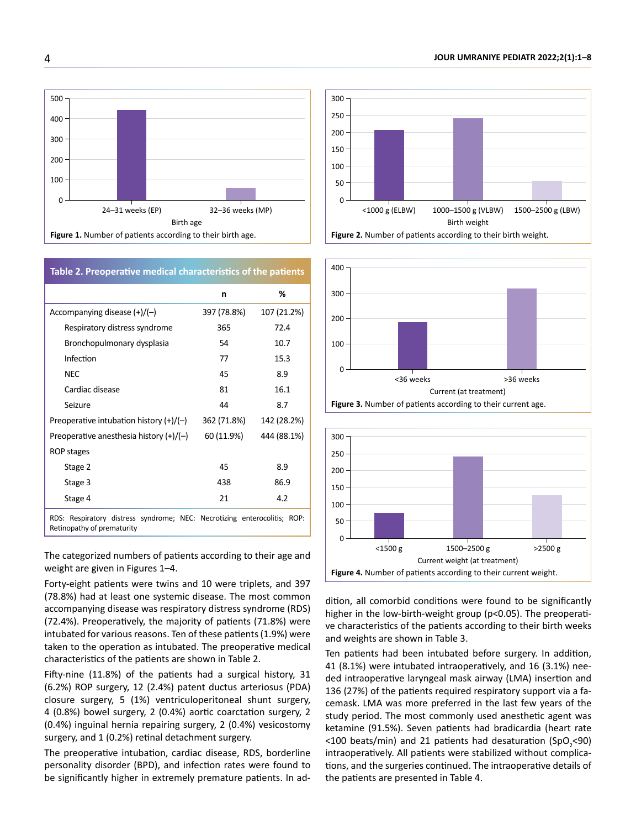

# **Table 2. Preoperative medical characteristics of the patients**

|                                           | n           | %           |
|-------------------------------------------|-------------|-------------|
| Accompanying disease $(+)/(-)$            | 397 (78.8%) | 107 (21.2%) |
| Respiratory distress syndrome             | 365         | 72.4        |
| Bronchopulmonary dysplasia                | 54          | 10.7        |
| Infection                                 | 77          | 15.3        |
| <b>NEC</b>                                | 45          | 8.9         |
| Cardiac disease                           | 81          | 16.1        |
| Seizure                                   | 44          | 8.7         |
| Preoperative intubation history $(+)/(-)$ | 362 (71.8%) | 142 (28.2%) |
| Preoperative anesthesia history $(+)/(-)$ | 60 (11.9%)  | 444 (88.1%) |
| ROP stages                                |             |             |
| Stage 2                                   | 45          | 8.9         |
| Stage 3                                   | 438         | 86.9        |
| Stage 4                                   | 21          | 4.2         |
|                                           |             |             |

RDS: Respiratory distress syndrome; NEC: Necrotizing enterocolitis; ROP: Retinopathy of prematurity

The categorized numbers of patients according to their age and weight are given in Figures 1–4.

Forty-eight patients were twins and 10 were triplets, and 397 (78.8%) had at least one systemic disease. The most common accompanying disease was respiratory distress syndrome (RDS) (72.4%). Preoperatively, the majority of patients (71.8%) were intubated for various reasons. Ten of these patients (1.9%) were taken to the operation as intubated. The preoperative medical characteristics of the patients are shown in Table 2.

Fifty-nine (11.8%) of the patients had a surgical history, 31 (6.2%) ROP surgery, 12 (2.4%) patent ductus arteriosus (PDA) closure surgery, 5 (1%) ventriculoperitoneal shunt surgery, 4 (0.8%) bowel surgery, 2 (0.4%) aortic coarctation surgery, 2 (0.4%) inguinal hernia repairing surgery, 2 (0.4%) vesicostomy surgery, and 1 (0.2%) retinal detachment surgery.

The preoperative intubation, cardiac disease, RDS, borderline personality disorder (BPD), and infection rates were found to be significantly higher in extremely premature patients. In ad-







dition, all comorbid conditions were found to be significantly higher in the low-birth-weight group (p<0.05). The preoperative characteristics of the patients according to their birth weeks and weights are shown in Table 3.

Ten patients had been intubated before surgery. In addition, 41 (8.1%) were intubated intraoperatively, and 16 (3.1%) needed intraoperative laryngeal mask airway (LMA) insertion and 136 (27%) of the patients required respiratory support via a facemask. LMA was more preferred in the last few years of the study period. The most commonly used anesthetic agent was ketamine (91.5%). Seven patients had bradicardia (heart rate <100 beats/min) and 21 patients had desaturation (SpO<sub>2</sub><90) intraoperatively. All patients were stabilized without complications, and the surgeries continued. The intraoperative details of the patients are presented in Table 4.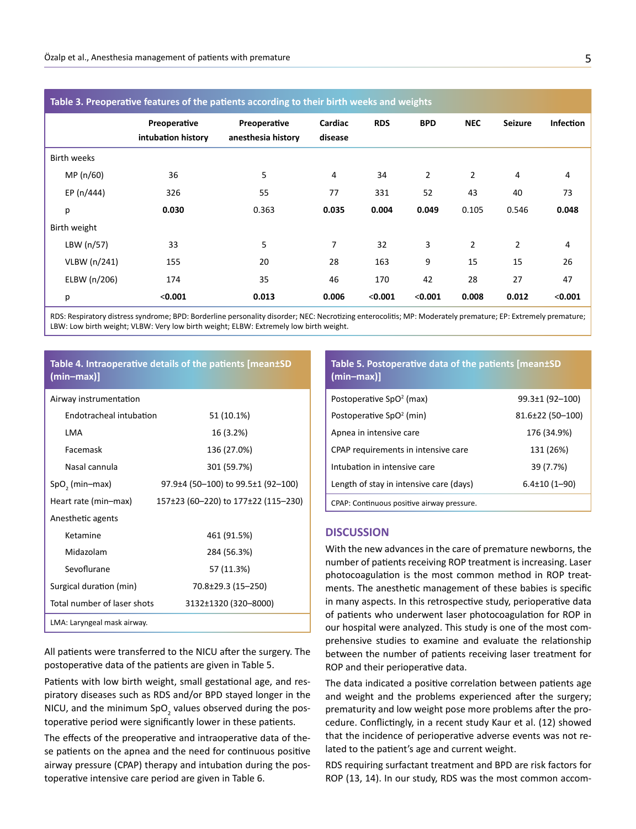| Table 3. Preoperative features of the patients according to their birth weeks and weights |                                    |                                    |                    |            |                |                |                |                  |
|-------------------------------------------------------------------------------------------|------------------------------------|------------------------------------|--------------------|------------|----------------|----------------|----------------|------------------|
|                                                                                           | Preoperative<br>intubation history | Preoperative<br>anesthesia history | Cardiac<br>disease | <b>RDS</b> | <b>BPD</b>     | <b>NEC</b>     | <b>Seizure</b> | <b>Infection</b> |
| <b>Birth weeks</b>                                                                        |                                    |                                    |                    |            |                |                |                |                  |
| MP (n/60)                                                                                 | 36                                 | 5                                  | 4                  | 34         | $\overline{2}$ | $\overline{2}$ | $\overline{4}$ | 4                |
| EP (n/444)                                                                                | 326                                | 55                                 | 77                 | 331        | 52             | 43             | 40             | 73               |
| р                                                                                         | 0.030                              | 0.363                              | 0.035              | 0.004      | 0.049          | 0.105          | 0.546          | 0.048            |
| Birth weight                                                                              |                                    |                                    |                    |            |                |                |                |                  |
| LBW (n/57)                                                                                | 33                                 | 5                                  | 7                  | 32         | 3              | $\overline{2}$ | $\overline{2}$ | 4                |
| VLBW (n/241)                                                                              | 155                                | 20                                 | 28                 | 163        | 9              | 15             | 15             | 26               |
| ELBW (n/206)                                                                              | 174                                | 35                                 | 46                 | 170        | 42             | 28             | 27             | 47               |
| р                                                                                         | < 0.001                            | 0.013                              | 0.006              | < 0.001    | < 0.001        | 0.008          | 0.012          | < 0.001          |

RDS: Respiratory distress syndrome; BPD: Borderline personality disorder; NEC: Necrotizing enterocolitis; MP: Moderately premature; EP: Extremely premature; LBW: Low birth weight; VLBW: Very low birth weight; ELBW: Extremely low birth weight.

# **Table 4. Intraoperative details of the patients [mean±SD (min–max)]**

Airway instrumentation

| Endotracheal intubation     | 51 (10.1%)                          |
|-----------------------------|-------------------------------------|
| LMA                         | 16 (3.2%)                           |
| Facemask                    | 136 (27.0%)                         |
| Nasal cannula               | 301 (59.7%)                         |
| $SpO, (min-max)$            | 97.9±4 (50-100) to 99.5±1 (92-100)  |
| Heart rate (min-max)        | 157±23 (60-220) to 177±22 (115-230) |
| Anesthetic agents           |                                     |
| Ketamine                    | 461 (91.5%)                         |
| Midazolam                   | 284 (56.3%)                         |
| Sevoflurane                 | 57 (11.3%)                          |
| Surgical duration (min)     | 70.8±29.3 (15-250)                  |
| Total number of laser shots | 3132±1320 (320-8000)                |
| LMA: Laryngeal mask airway. |                                     |

All patients were transferred to the NICU after the surgery. The postoperative data of the patients are given in Table 5.

Patients with low birth weight, small gestational age, and respiratory diseases such as RDS and/or BPD stayed longer in the NICU, and the minimum  $SpO<sub>2</sub>$  values observed during the postoperative period were significantly lower in these patients.

The effects of the preoperative and intraoperative data of these patients on the apnea and the need for continuous positive airway pressure (CPAP) therapy and intubation during the postoperative intensive care period are given in Table 6.

# **Table 5. Postoperative data of the patients [mean±SD (min–max)]**

| Postoperative SpO <sup>2</sup> (max)       | $99.3 \pm 1$ (92-100) |
|--------------------------------------------|-----------------------|
| Postoperative SpO <sup>2</sup> (min)       | $81.6\pm22$ (50-100)  |
| Apnea in intensive care                    | 176 (34.9%)           |
| CPAP requirements in intensive care        | 131 (26%)             |
| Intubation in intensive care               | 39 (7.7%)             |
| Length of stay in intensive care (days)    | $6.4 \pm 10(1 - 90)$  |
| CPAP: Continuous positive airway pressure. |                       |

#### **DISCUSSION**

With the new advances in the care of premature newborns, the number of patients receiving ROP treatment is increasing. Laser photocoagulation is the most common method in ROP treatments. The anesthetic management of these babies is specific in many aspects. In this retrospective study, perioperative data of patients who underwent laser photocoagulation for ROP in our hospital were analyzed. This study is one of the most comprehensive studies to examine and evaluate the relationship between the number of patients receiving laser treatment for ROP and their perioperative data.

The data indicated a positive correlation between patients age and weight and the problems experienced after the surgery; prematurity and low weight pose more problems after the procedure. Conflictingly, in a recent study Kaur et al. (12) showed that the incidence of perioperative adverse events was not related to the patient's age and current weight.

RDS requiring surfactant treatment and BPD are risk factors for ROP (13, 14). In our study, RDS was the most common accom-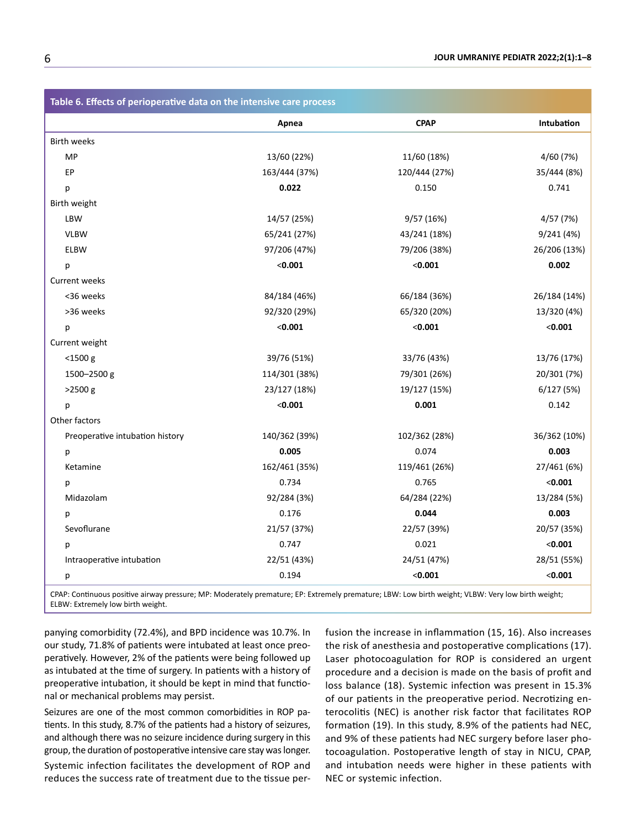| Table 6. Effects of perioperative data on the intensive care process                                                                              |               |               |              |  |
|---------------------------------------------------------------------------------------------------------------------------------------------------|---------------|---------------|--------------|--|
|                                                                                                                                                   | Apnea         | <b>CPAP</b>   | Intubation   |  |
| <b>Birth weeks</b>                                                                                                                                |               |               |              |  |
| MP                                                                                                                                                | 13/60 (22%)   | 11/60 (18%)   | 4/60 (7%)    |  |
| EP                                                                                                                                                | 163/444 (37%) | 120/444 (27%) | 35/444 (8%)  |  |
| p                                                                                                                                                 | 0.022         | 0.150         | 0.741        |  |
| Birth weight                                                                                                                                      |               |               |              |  |
| LBW                                                                                                                                               | 14/57 (25%)   | 9/57 (16%)    | 4/57 (7%)    |  |
| <b>VLBW</b>                                                                                                                                       | 65/241 (27%)  | 43/241 (18%)  | 9/241(4%)    |  |
| ELBW                                                                                                                                              | 97/206 (47%)  | 79/206 (38%)  | 26/206 (13%) |  |
| p                                                                                                                                                 | < 0.001       | < 0.001       | 0.002        |  |
| <b>Current weeks</b>                                                                                                                              |               |               |              |  |
| <36 weeks                                                                                                                                         | 84/184 (46%)  | 66/184 (36%)  | 26/184 (14%) |  |
| >36 weeks                                                                                                                                         | 92/320 (29%)  | 65/320 (20%)  | 13/320 (4%)  |  |
| p                                                                                                                                                 | < 0.001       | < 0.001       | < 0.001      |  |
| Current weight                                                                                                                                    |               |               |              |  |
| $<$ 1500 $g$                                                                                                                                      | 39/76 (51%)   | 33/76 (43%)   | 13/76 (17%)  |  |
| 1500-2500 g                                                                                                                                       | 114/301 (38%) | 79/301 (26%)  | 20/301 (7%)  |  |
| $>2500$ g                                                                                                                                         | 23/127 (18%)  | 19/127 (15%)  | 6/127(5%)    |  |
| p                                                                                                                                                 | < 0.001       | 0.001         | 0.142        |  |
| Other factors                                                                                                                                     |               |               |              |  |
| Preoperative intubation history                                                                                                                   | 140/362 (39%) | 102/362 (28%) | 36/362 (10%) |  |
| р                                                                                                                                                 | 0.005         | 0.074         | 0.003        |  |
| Ketamine                                                                                                                                          | 162/461 (35%) | 119/461 (26%) | 27/461 (6%)  |  |
| р                                                                                                                                                 | 0.734         | 0.765         | < 0.001      |  |
| Midazolam                                                                                                                                         | 92/284 (3%)   | 64/284 (22%)  | 13/284 (5%)  |  |
| р                                                                                                                                                 | 0.176         | 0.044         | 0.003        |  |
| Sevoflurane                                                                                                                                       | 21/57 (37%)   | 22/57 (39%)   | 20/57 (35%)  |  |
| р                                                                                                                                                 | 0.747         | 0.021         | < 0.001      |  |
| Intraoperative intubation                                                                                                                         | 22/51 (43%)   | 24/51 (47%)   | 28/51 (55%)  |  |
| р                                                                                                                                                 | 0.194         | < 0.001       | < 0.001      |  |
| CDAD: Continuous positivo airway prossure: MD: Moderately promature: ED: Extremely promature: IDM: Low birth weight: VLDM: Very low birth weight: |               |               |              |  |

emature; EP: Extremely premature; LBW: Low birth weight; VLBW: Very low birth weight; ELBW: Extremely low birth weight.

panying comorbidity (72.4%), and BPD incidence was 10.7%. In our study, 71.8% of patients were intubated at least once preoperatively. However, 2% of the patients were being followed up as intubated at the time of surgery. In patients with a history of preoperative intubation, it should be kept in mind that functional or mechanical problems may persist.

Seizures are one of the most common comorbidities in ROP patients. In this study, 8.7% of the patients had a history of seizures, and although there was no seizure incidence during surgery in this group, the duration of postoperative intensive care stay was longer. Systemic infection facilitates the development of ROP and reduces the success rate of treatment due to the tissue perfusion the increase in inflammation (15, 16). Also increases the risk of anesthesia and postoperative complications (17). Laser photocoagulation for ROP is considered an urgent procedure and a decision is made on the basis of profit and loss balance (18). Systemic infection was present in 15.3% of our patients in the preoperative period. Necrotizing enterocolitis (NEC) is another risk factor that facilitates ROP formation (19). In this study, 8.9% of the patients had NEC, and 9% of these patients had NEC surgery before laser photocoagulation. Postoperative length of stay in NICU, CPAP, and intubation needs were higher in these patients with NEC or systemic infection.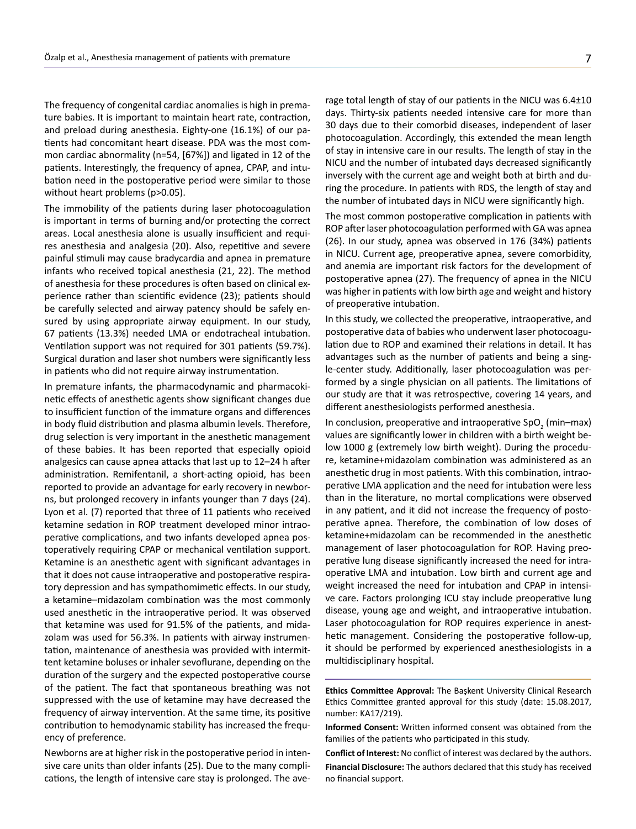The frequency of congenital cardiac anomalies is high in premature babies. It is important to maintain heart rate, contraction, and preload during anesthesia. Eighty-one (16.1%) of our patients had concomitant heart disease. PDA was the most common cardiac abnormality (n=54, [67%]) and ligated in 12 of the patients. Interestingly, the frequency of apnea, CPAP, and intubation need in the postoperative period were similar to those without heart problems (p>0.05).

The immobility of the patients during laser photocoagulation is important in terms of burning and/or protecting the correct areas. Local anesthesia alone is usually insufficient and requires anesthesia and analgesia (20). Also, repetitive and severe painful stimuli may cause bradycardia and apnea in premature infants who received topical anesthesia (21, 22). The method of anesthesia for these procedures is often based on clinical experience rather than scientific evidence (23); patients should be carefully selected and airway patency should be safely ensured by using appropriate airway equipment. In our study, 67 patients (13.3%) needed LMA or endotracheal intubation. Ventilation support was not required for 301 patients (59.7%). Surgical duration and laser shot numbers were significantly less in patients who did not require airway instrumentation.

In premature infants, the pharmacodynamic and pharmacokinetic effects of anesthetic agents show significant changes due to insufficient function of the immature organs and differences in body fluid distribution and plasma albumin levels. Therefore, drug selection is very important in the anesthetic management of these babies. It has been reported that especially opioid analgesics can cause apnea attacks that last up to 12–24 h after administration. Remifentanil, a short-acting opioid, has been reported to provide an advantage for early recovery in newborns, but prolonged recovery in infants younger than 7 days (24). Lyon et al. (7) reported that three of 11 patients who received ketamine sedation in ROP treatment developed minor intraoperative complications, and two infants developed apnea postoperatively requiring CPAP or mechanical ventilation support. Ketamine is an anesthetic agent with significant advantages in that it does not cause intraoperative and postoperative respiratory depression and has sympathomimetic effects. In our study, a ketamine–midazolam combination was the most commonly used anesthetic in the intraoperative period. It was observed that ketamine was used for 91.5% of the patients, and midazolam was used for 56.3%. In patients with airway instrumentation, maintenance of anesthesia was provided with intermittent ketamine boluses or inhaler sevoflurane, depending on the duration of the surgery and the expected postoperative course of the patient. The fact that spontaneous breathing was not suppressed with the use of ketamine may have decreased the frequency of airway intervention. At the same time, its positive contribution to hemodynamic stability has increased the frequency of preference.

Newborns are at higher risk in the postoperative period in intensive care units than older infants (25). Due to the many complications, the length of intensive care stay is prolonged. The average total length of stay of our patients in the NICU was 6.4±10 days. Thirty-six patients needed intensive care for more than 30 days due to their comorbid diseases, independent of laser photocoagulation. Accordingly, this extended the mean length of stay in intensive care in our results. The length of stay in the NICU and the number of intubated days decreased significantly inversely with the current age and weight both at birth and during the procedure. In patients with RDS, the length of stay and the number of intubated days in NICU were significantly high.

The most common postoperative complication in patients with ROP after laser photocoagulation performed with GA was apnea (26). In our study, apnea was observed in 176 (34%) patients in NICU. Current age, preoperative apnea, severe comorbidity, and anemia are important risk factors for the development of postoperative apnea (27). The frequency of apnea in the NICU was higher in patients with low birth age and weight and history of preoperative intubation.

In this study, we collected the preoperative, intraoperative, and postoperative data of babies who underwent laser photocoagulation due to ROP and examined their relations in detail. It has advantages such as the number of patients and being a single-center study. Additionally, laser photocoagulation was performed by a single physician on all patients. The limitations of our study are that it was retrospective, covering 14 years, and different anesthesiologists performed anesthesia.

In conclusion, preoperative and intraoperative SpO<sub>2</sub> (min–max) values are significantly lower in children with a birth weight below 1000 g (extremely low birth weight). During the procedure, ketamine+midazolam combination was administered as an anesthetic drug in most patients. With this combination, intraoperative LMA application and the need for intubation were less than in the literature, no mortal complications were observed in any patient, and it did not increase the frequency of postoperative apnea. Therefore, the combination of low doses of ketamine+midazolam can be recommended in the anesthetic management of laser photocoagulation for ROP. Having preoperative lung disease significantly increased the need for intraoperative LMA and intubation. Low birth and current age and weight increased the need for intubation and CPAP in intensive care. Factors prolonging ICU stay include preoperative lung disease, young age and weight, and intraoperative intubation. Laser photocoagulation for ROP requires experience in anesthetic management. Considering the postoperative follow-up, it should be performed by experienced anesthesiologists in a multidisciplinary hospital.

**Ethics Committee Approval:** The Başkent University Clinical Research Ethics Committee granted approval for this study (date: 15.08.2017, number: KA17/219).

**Conflict of Interest:** No conflict of interest was declared by the authors.

**Financial Disclosure:** The authors declared that this study has received no financial support.

**Informed Consent:** Written informed consent was obtained from the families of the patients who participated in this study.